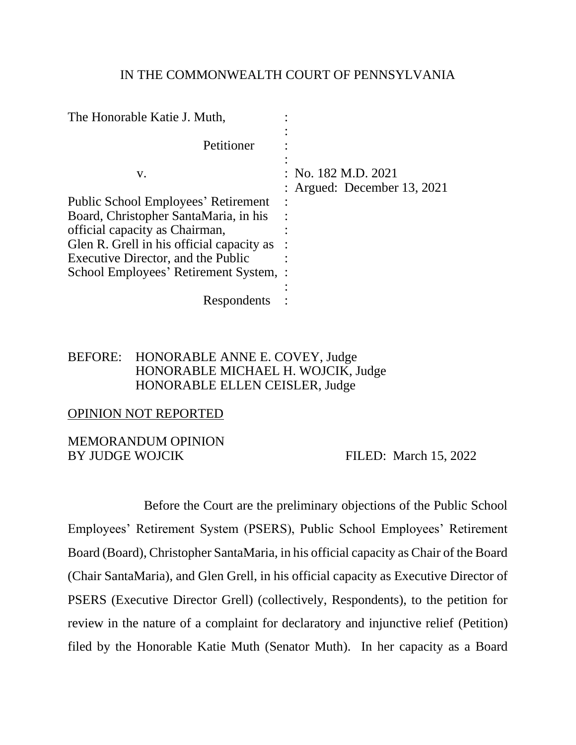#### IN THE COMMONWEALTH COURT OF PENNSYLVANIA

| The Honorable Katie J. Muth,                                                        |                                                    |
|-------------------------------------------------------------------------------------|----------------------------------------------------|
| Petitioner                                                                          |                                                    |
| V.                                                                                  | : No. 182 M.D. 2021<br>: Argued: December 13, 2021 |
| <b>Public School Employees' Retirement</b><br>Board, Christopher SantaMaria, in his |                                                    |
| official capacity as Chairman,                                                      |                                                    |
| Glen R. Grell in his official capacity as                                           |                                                    |
| Executive Director, and the Public                                                  |                                                    |
| School Employees' Retirement System, :                                              |                                                    |
| Respondents                                                                         |                                                    |

### BEFORE: HONORABLE ANNE E. COVEY, Judge HONORABLE MICHAEL H. WOJCIK, Judge HONORABLE ELLEN CEISLER, Judge

#### OPINION NOT REPORTED

#### MEMORANDUM OPINION BY JUDGE WOJCIK FILED: March 15, 2022

Before the Court are the preliminary objections of the Public School Employees' Retirement System (PSERS), Public School Employees' Retirement Board (Board), Christopher SantaMaria, in his official capacity as Chair of the Board (Chair SantaMaria), and Glen Grell, in his official capacity as Executive Director of PSERS (Executive Director Grell) (collectively, Respondents), to the petition for review in the nature of a complaint for declaratory and injunctive relief (Petition) filed by the Honorable Katie Muth (Senator Muth). In her capacity as a Board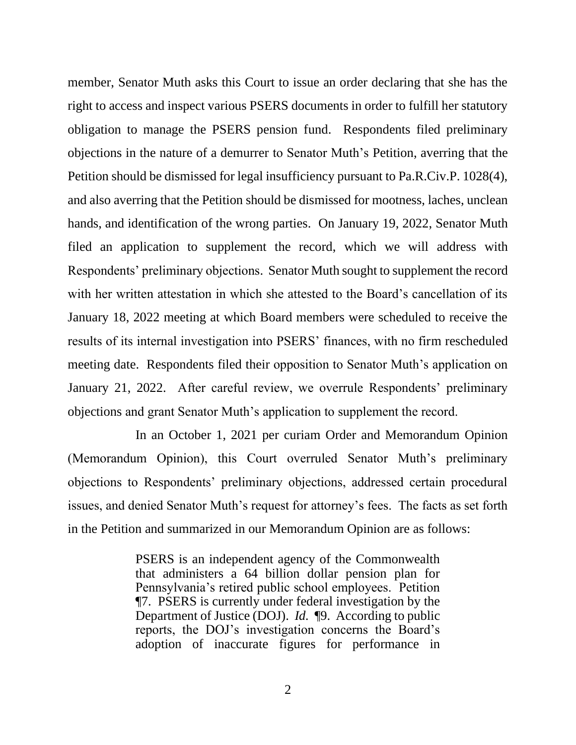member, Senator Muth asks this Court to issue an order declaring that she has the right to access and inspect various PSERS documents in order to fulfill her statutory obligation to manage the PSERS pension fund. Respondents filed preliminary objections in the nature of a demurrer to Senator Muth's Petition, averring that the Petition should be dismissed for legal insufficiency pursuant to Pa.R.Civ.P. 1028(4), and also averring that the Petition should be dismissed for mootness, laches, unclean hands, and identification of the wrong parties. On January 19, 2022, Senator Muth filed an application to supplement the record, which we will address with Respondents' preliminary objections. Senator Muth sought to supplement the record with her written attestation in which she attested to the Board's cancellation of its January 18, 2022 meeting at which Board members were scheduled to receive the results of its internal investigation into PSERS' finances, with no firm rescheduled meeting date. Respondents filed their opposition to Senator Muth's application on January 21, 2022. After careful review, we overrule Respondents' preliminary objections and grant Senator Muth's application to supplement the record.

In an October 1, 2021 per curiam Order and Memorandum Opinion (Memorandum Opinion), this Court overruled Senator Muth's preliminary objections to Respondents' preliminary objections, addressed certain procedural issues, and denied Senator Muth's request for attorney's fees. The facts as set forth in the Petition and summarized in our Memorandum Opinion are as follows:

> PSERS is an independent agency of the Commonwealth that administers a 64 billion dollar pension plan for Pennsylvania's retired public school employees. Petition ¶7. PSERS is currently under federal investigation by the Department of Justice (DOJ). *Id.* ¶9. According to public reports, the DOJ's investigation concerns the Board's adoption of inaccurate figures for performance in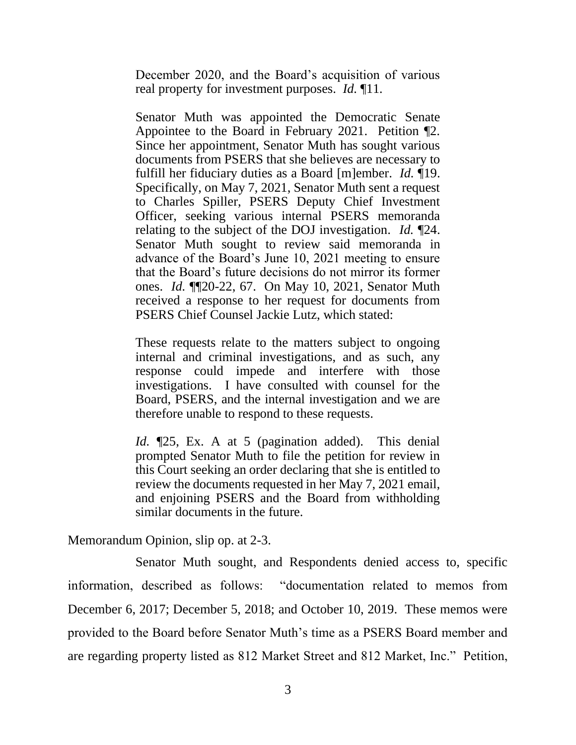December 2020, and the Board's acquisition of various real property for investment purposes. *Id.* ¶11*.* 

Senator Muth was appointed the Democratic Senate Appointee to the Board in February 2021. Petition ¶2. Since her appointment, Senator Muth has sought various documents from PSERS that she believes are necessary to fulfill her fiduciary duties as a Board [m]ember. *Id.* ¶19. Specifically, on May 7, 2021, Senator Muth sent a request to Charles Spiller, PSERS Deputy Chief Investment Officer, seeking various internal PSERS memoranda relating to the subject of the DOJ investigation. *Id.* ¶24. Senator Muth sought to review said memoranda in advance of the Board's June 10, 2021 meeting to ensure that the Board's future decisions do not mirror its former ones. *Id.* ¶¶20-22, 67. On May 10, 2021, Senator Muth received a response to her request for documents from PSERS Chief Counsel Jackie Lutz, which stated:

These requests relate to the matters subject to ongoing internal and criminal investigations, and as such, any response could impede and interfere with those investigations. I have consulted with counsel for the Board, PSERS, and the internal investigation and we are therefore unable to respond to these requests.

*Id.* ¶25, Ex. A at 5 (pagination added). This denial prompted Senator Muth to file the petition for review in this Court seeking an order declaring that she is entitled to review the documents requested in her May 7, 2021 email, and enjoining PSERS and the Board from withholding similar documents in the future.

Memorandum Opinion, slip op. at 2-3.

Senator Muth sought, and Respondents denied access to, specific information, described as follows: "documentation related to memos from December 6, 2017; December 5, 2018; and October 10, 2019. These memos were provided to the Board before Senator Muth's time as a PSERS Board member and are regarding property listed as 812 Market Street and 812 Market, Inc." Petition,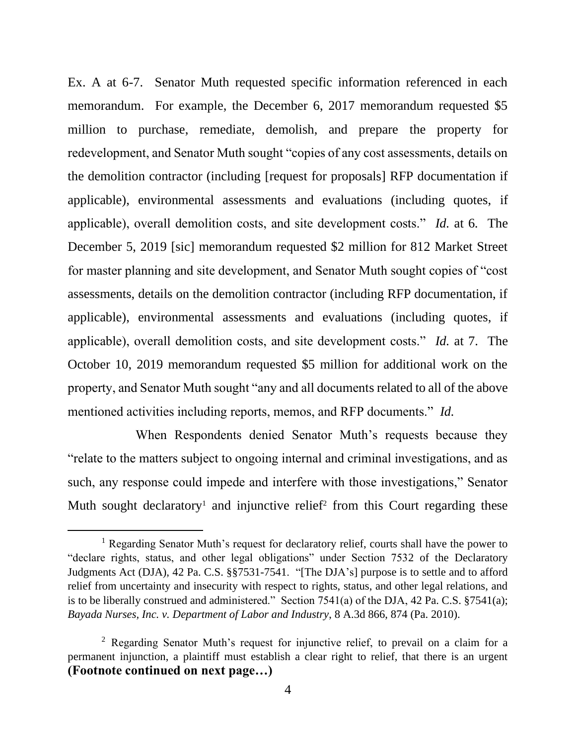Ex. A at 6-7. Senator Muth requested specific information referenced in each memorandum. For example, the December 6, 2017 memorandum requested \$5 million to purchase, remediate, demolish, and prepare the property for redevelopment, and Senator Muth sought "copies of any cost assessments, details on the demolition contractor (including [request for proposals] RFP documentation if applicable), environmental assessments and evaluations (including quotes, if applicable), overall demolition costs, and site development costs." *Id.* at 6*.* The December 5, 2019 [sic] memorandum requested \$2 million for 812 Market Street for master planning and site development, and Senator Muth sought copies of "cost assessments, details on the demolition contractor (including RFP documentation, if applicable), environmental assessments and evaluations (including quotes, if applicable), overall demolition costs, and site development costs." *Id.* at 7.The October 10, 2019 memorandum requested \$5 million for additional work on the property, and Senator Muth sought "any and all documents related to all of the above mentioned activities including reports, memos, and RFP documents." *Id.* 

When Respondents denied Senator Muth's requests because they "relate to the matters subject to ongoing internal and criminal investigations, and as such, any response could impede and interfere with those investigations," Senator Muth sought declaratory<sup>1</sup> and injunctive relief<sup>2</sup> from this Court regarding these

<sup>&</sup>lt;sup>1</sup> Regarding Senator Muth's request for declaratory relief, courts shall have the power to "declare rights, status, and other legal obligations" under Section 7532 of the Declaratory Judgments Act (DJA), 42 Pa. C.S. §§7531-7541. "[The DJA's] purpose is to settle and to afford relief from uncertainty and insecurity with respect to rights, status, and other legal relations, and is to be liberally construed and administered." Section 7541(a) of the DJA, 42 Pa. C.S. §7541(a); *Bayada Nurses, Inc. v. Department of Labor and Industry*, 8 A.3d 866, 874 (Pa. 2010).

<sup>2</sup> Regarding Senator Muth's request for injunctive relief, to prevail on a claim for a permanent injunction, a plaintiff must establish a clear right to relief, that there is an urgent **(Footnote continued on next page…)**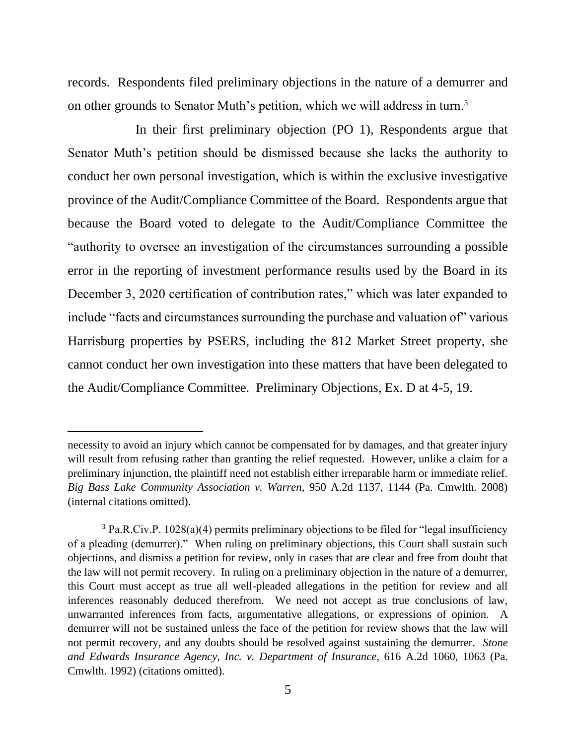records. Respondents filed preliminary objections in the nature of a demurrer and on other grounds to Senator Muth's petition, which we will address in turn.<sup>3</sup>

In their first preliminary objection (PO 1), Respondents argue that Senator Muth's petition should be dismissed because she lacks the authority to conduct her own personal investigation, which is within the exclusive investigative province of the Audit/Compliance Committee of the Board. Respondents argue that because the Board voted to delegate to the Audit/Compliance Committee the "authority to oversee an investigation of the circumstances surrounding a possible error in the reporting of investment performance results used by the Board in its December 3, 2020 certification of contribution rates," which was later expanded to include "facts and circumstances surrounding the purchase and valuation of" various Harrisburg properties by PSERS, including the 812 Market Street property, she cannot conduct her own investigation into these matters that have been delegated to the Audit/Compliance Committee. Preliminary Objections, Ex. D at 4-5, 19.

necessity to avoid an injury which cannot be compensated for by damages, and that greater injury will result from refusing rather than granting the relief requested. However, unlike a claim for a preliminary injunction, the plaintiff need not establish either irreparable harm or immediate relief. *Big Bass Lake Community Association v. Warren*, 950 A.2d 1137, 1144 (Pa. Cmwlth. 2008) (internal citations omitted).

<sup>&</sup>lt;sup>3</sup> Pa.R.Civ.P. 1028(a)(4) permits preliminary objections to be filed for "legal insufficiency of a pleading (demurrer)." When ruling on preliminary objections, this Court shall sustain such objections, and dismiss a petition for review, only in cases that are clear and free from doubt that the law will not permit recovery. In ruling on a preliminary objection in the nature of a demurrer, this Court must accept as true all well-pleaded allegations in the petition for review and all inferences reasonably deduced therefrom. We need not accept as true conclusions of law, unwarranted inferences from facts, argumentative allegations, or expressions of opinion. A demurrer will not be sustained unless the face of the petition for review shows that the law will not permit recovery, and any doubts should be resolved against sustaining the demurrer. *Stone and Edwards Insurance Agency, Inc. v. Department of Insurance*, 616 A.2d 1060, 1063 (Pa. Cmwlth. 1992) (citations omitted).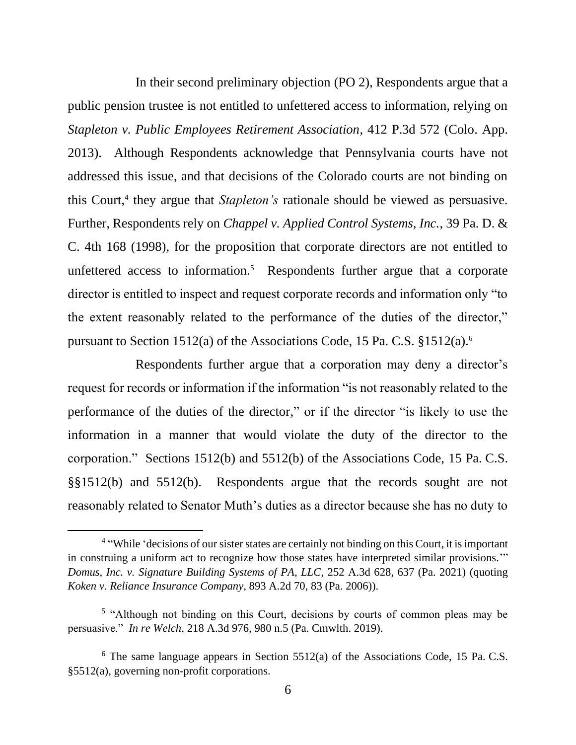In their second preliminary objection (PO 2), Respondents argue that a public pension trustee is not entitled to unfettered access to information, relying on *Stapleton v. Public Employees Retirement Association*, 412 P.3d 572 (Colo. App. 2013). Although Respondents acknowledge that Pennsylvania courts have not addressed this issue, and that decisions of the Colorado courts are not binding on this Court,<sup>4</sup> they argue that *Stapleton's* rationale should be viewed as persuasive. Further, Respondents rely on *Chappel v. Applied Control Systems, Inc.*, 39 Pa. D. & C. 4th 168 (1998), for the proposition that corporate directors are not entitled to unfettered access to information.<sup>5</sup> Respondents further argue that a corporate director is entitled to inspect and request corporate records and information only "to the extent reasonably related to the performance of the duties of the director," pursuant to Section 1512(a) of the Associations Code, 15 Pa. C.S. §1512(a).<sup>6</sup>

Respondents further argue that a corporation may deny a director's request for records or information if the information "is not reasonably related to the performance of the duties of the director," or if the director "is likely to use the information in a manner that would violate the duty of the director to the corporation." Sections 1512(b) and 5512(b) of the Associations Code, 15 Pa. C.S. §§1512(b) and 5512(b). Respondents argue that the records sought are not reasonably related to Senator Muth's duties as a director because she has no duty to

<sup>&</sup>lt;sup>4</sup> "While 'decisions of our sister states are certainly not binding on this Court, it is important in construing a uniform act to recognize how those states have interpreted similar provisions.'" *Domus, Inc. v. Signature Building Systems of PA, LLC*, 252 A.3d 628, 637 (Pa. 2021) (quoting *Koken v. Reliance Insurance Company*, 893 A.2d 70, 83 (Pa. 2006)).

<sup>&</sup>lt;sup>5</sup> "Although not binding on this Court, decisions by courts of common pleas may be persuasive." *In re Welch*, 218 A.3d 976, 980 n.5 (Pa. Cmwlth. 2019).

 $6$  The same language appears in Section 5512(a) of the Associations Code, 15 Pa. C.S. §5512(a), governing non-profit corporations.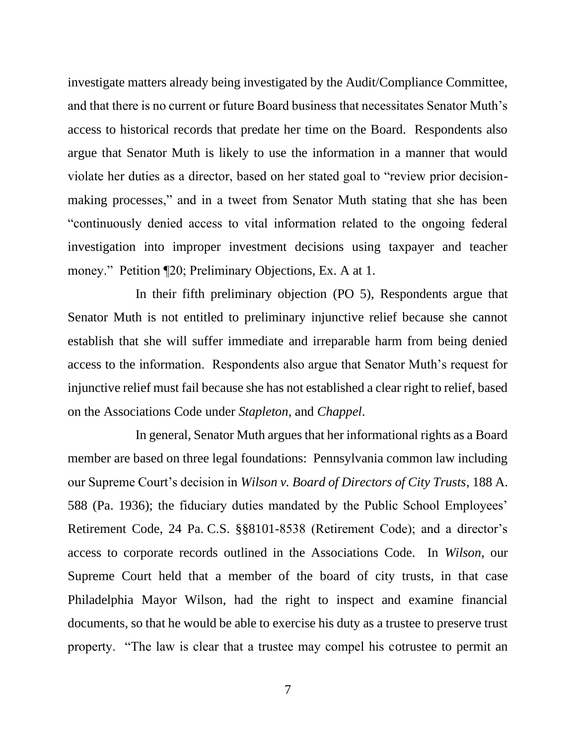investigate matters already being investigated by the Audit/Compliance Committee, and that there is no current or future Board business that necessitates Senator Muth's access to historical records that predate her time on the Board. Respondents also argue that Senator Muth is likely to use the information in a manner that would violate her duties as a director, based on her stated goal to "review prior decisionmaking processes," and in a tweet from Senator Muth stating that she has been "continuously denied access to vital information related to the ongoing federal investigation into improper investment decisions using taxpayer and teacher money." Petition [20; Preliminary Objections, Ex. A at 1.

In their fifth preliminary objection (PO 5), Respondents argue that Senator Muth is not entitled to preliminary injunctive relief because she cannot establish that she will suffer immediate and irreparable harm from being denied access to the information. Respondents also argue that Senator Muth's request for injunctive relief must fail because she has not established a clear right to relief, based on the Associations Code under *Stapleton*, and *Chappel*.

In general, Senator Muth argues that her informational rights as a Board member are based on three legal foundations: Pennsylvania common law including our Supreme Court's decision in *Wilson v. Board of Directors of City Trusts*, 188 A. 588 (Pa. 1936); the fiduciary duties mandated by the Public School Employees' Retirement Code, 24 Pa. C.S. §§8101-8538 (Retirement Code); and a director's access to corporate records outlined in the Associations Code. In *Wilson*, our Supreme Court held that a member of the board of city trusts, in that case Philadelphia Mayor Wilson, had the right to inspect and examine financial documents, so that he would be able to exercise his duty as a trustee to preserve trust property. "The law is clear that a trustee may compel his cotrustee to permit an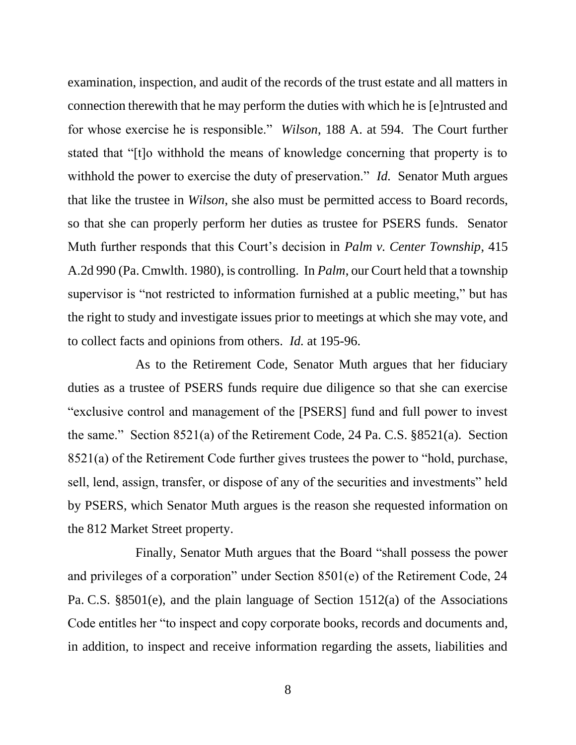examination, inspection, and audit of the records of the trust estate and all matters in connection therewith that he may perform the duties with which he is [e]ntrusted and for whose exercise he is responsible." *Wilson*, 188 A. at 594. The Court further stated that "[t]o withhold the means of knowledge concerning that property is to withhold the power to exercise the duty of preservation." *Id.* Senator Muth argues that like the trustee in *Wilson*, she also must be permitted access to Board records, so that she can properly perform her duties as trustee for PSERS funds. Senator Muth further responds that this Court's decision in *Palm v. Center Township*, 415 A.2d 990 (Pa. Cmwlth. 1980), is controlling. In *Palm*, our Court held that a township supervisor is "not restricted to information furnished at a public meeting," but has the right to study and investigate issues prior to meetings at which she may vote, and to collect facts and opinions from others. *Id.* at 195-96.

As to the Retirement Code, Senator Muth argues that her fiduciary duties as a trustee of PSERS funds require due diligence so that she can exercise "exclusive control and management of the [PSERS] fund and full power to invest the same." Section 8521(a) of the Retirement Code, 24 Pa. C.S. §8521(a). Section 8521(a) of the Retirement Code further gives trustees the power to "hold, purchase, sell, lend, assign, transfer, or dispose of any of the securities and investments" held by PSERS, which Senator Muth argues is the reason she requested information on the 812 Market Street property.

Finally, Senator Muth argues that the Board "shall possess the power and privileges of a corporation" under Section 8501(e) of the Retirement Code, 24 Pa. C.S. §8501(e), and the plain language of Section 1512(a) of the Associations Code entitles her "to inspect and copy corporate books, records and documents and, in addition, to inspect and receive information regarding the assets, liabilities and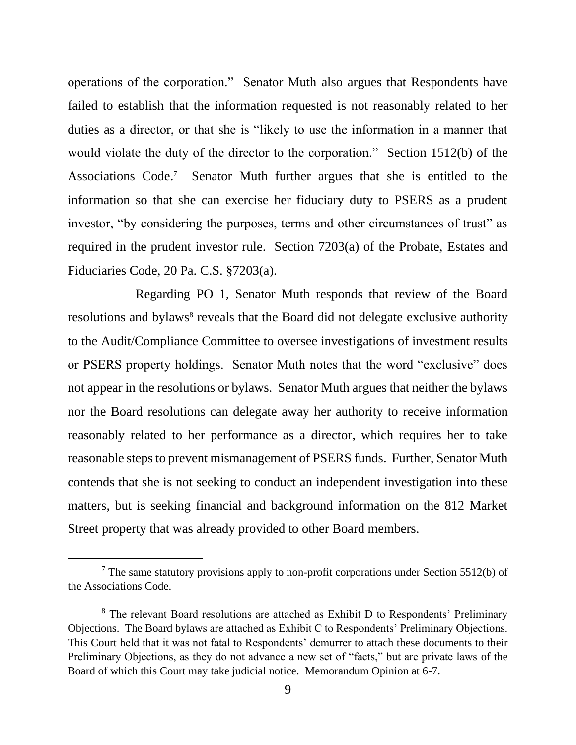operations of the corporation." Senator Muth also argues that Respondents have failed to establish that the information requested is not reasonably related to her duties as a director, or that she is "likely to use the information in a manner that would violate the duty of the director to the corporation." Section 1512(b) of the Associations Code. 7 Senator Muth further argues that she is entitled to the information so that she can exercise her fiduciary duty to PSERS as a prudent investor, "by considering the purposes, terms and other circumstances of trust" as required in the prudent investor rule. Section 7203(a) of the Probate, Estates and Fiduciaries Code, 20 Pa. C.S. §7203(a).

Regarding PO 1, Senator Muth responds that review of the Board resolutions and bylaws<sup>8</sup> reveals that the Board did not delegate exclusive authority to the Audit/Compliance Committee to oversee investigations of investment results or PSERS property holdings. Senator Muth notes that the word "exclusive" does not appear in the resolutions or bylaws. Senator Muth argues that neither the bylaws nor the Board resolutions can delegate away her authority to receive information reasonably related to her performance as a director, which requires her to take reasonable steps to prevent mismanagement of PSERS funds. Further, Senator Muth contends that she is not seeking to conduct an independent investigation into these matters, but is seeking financial and background information on the 812 Market Street property that was already provided to other Board members.

 $7$  The same statutory provisions apply to non-profit corporations under Section 5512(b) of the Associations Code.

<sup>&</sup>lt;sup>8</sup> The relevant Board resolutions are attached as Exhibit D to Respondents' Preliminary Objections. The Board bylaws are attached as Exhibit C to Respondents' Preliminary Objections. This Court held that it was not fatal to Respondents' demurrer to attach these documents to their Preliminary Objections, as they do not advance a new set of "facts," but are private laws of the Board of which this Court may take judicial notice. Memorandum Opinion at 6-7.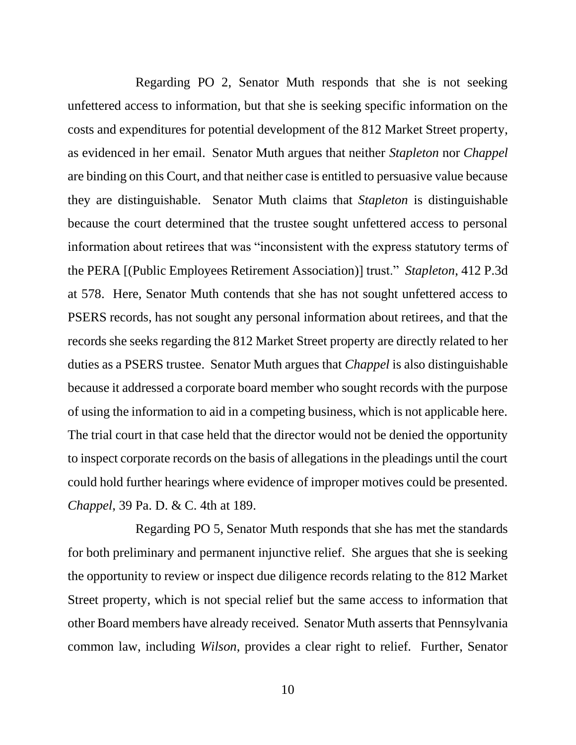Regarding PO 2, Senator Muth responds that she is not seeking unfettered access to information, but that she is seeking specific information on the costs and expenditures for potential development of the 812 Market Street property, as evidenced in her email. Senator Muth argues that neither *Stapleton* nor *Chappel*  are binding on this Court, and that neither case is entitled to persuasive value because they are distinguishable. Senator Muth claims that *Stapleton* is distinguishable because the court determined that the trustee sought unfettered access to personal information about retirees that was "inconsistent with the express statutory terms of the PERA [(Public Employees Retirement Association)] trust." *Stapleton*, 412 P.3d at 578. Here, Senator Muth contends that she has not sought unfettered access to PSERS records, has not sought any personal information about retirees, and that the records she seeks regarding the 812 Market Street property are directly related to her duties as a PSERS trustee. Senator Muth argues that *Chappel* is also distinguishable because it addressed a corporate board member who sought records with the purpose of using the information to aid in a competing business, which is not applicable here. The trial court in that case held that the director would not be denied the opportunity to inspect corporate records on the basis of allegations in the pleadings until the court could hold further hearings where evidence of improper motives could be presented. *Chappel*, 39 Pa. D. & C. 4th at 189.

Regarding PO 5, Senator Muth responds that she has met the standards for both preliminary and permanent injunctive relief. She argues that she is seeking the opportunity to review or inspect due diligence records relating to the 812 Market Street property, which is not special relief but the same access to information that other Board members have already received. Senator Muth asserts that Pennsylvania common law, including *Wilson*, provides a clear right to relief. Further, Senator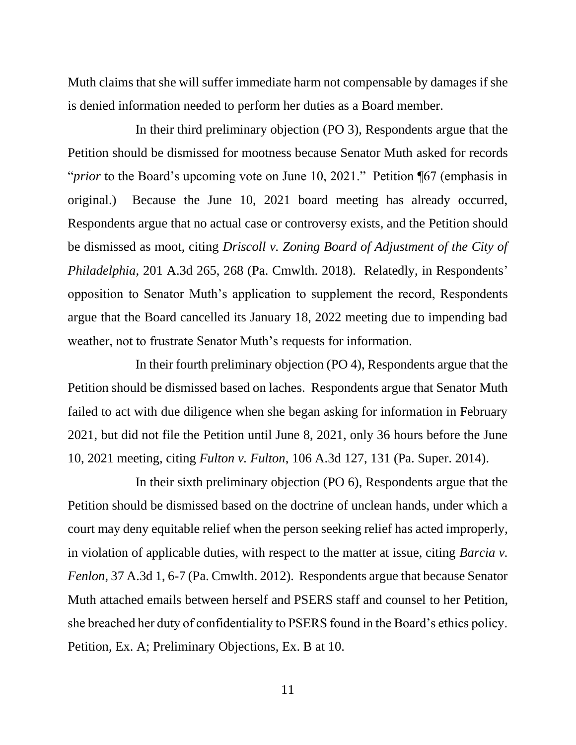Muth claims that she will suffer immediate harm not compensable by damages if she is denied information needed to perform her duties as a Board member.

In their third preliminary objection (PO 3), Respondents argue that the Petition should be dismissed for mootness because Senator Muth asked for records "*prior* to the Board's upcoming vote on June 10, 2021." Petition ¶67 (emphasis in original.) Because the June 10, 2021 board meeting has already occurred, Respondents argue that no actual case or controversy exists, and the Petition should be dismissed as moot, citing *Driscoll v. Zoning Board of Adjustment of the City of Philadelphia*, 201 A.3d 265, 268 (Pa. Cmwlth. 2018). Relatedly, in Respondents' opposition to Senator Muth's application to supplement the record, Respondents argue that the Board cancelled its January 18, 2022 meeting due to impending bad weather, not to frustrate Senator Muth's requests for information.

In their fourth preliminary objection (PO 4), Respondents argue that the Petition should be dismissed based on laches. Respondents argue that Senator Muth failed to act with due diligence when she began asking for information in February 2021, but did not file the Petition until June 8, 2021, only 36 hours before the June 10, 2021 meeting, citing *Fulton v. Fulton*, 106 A.3d 127, 131 (Pa. Super. 2014).

In their sixth preliminary objection (PO 6), Respondents argue that the Petition should be dismissed based on the doctrine of unclean hands, under which a court may deny equitable relief when the person seeking relief has acted improperly, in violation of applicable duties, with respect to the matter at issue, citing *Barcia v. Fenlon*, 37 A.3d 1, 6-7 (Pa. Cmwlth. 2012). Respondents argue that because Senator Muth attached emails between herself and PSERS staff and counsel to her Petition, she breached her duty of confidentiality to PSERS found in the Board's ethics policy. Petition, Ex. A; Preliminary Objections, Ex. B at 10.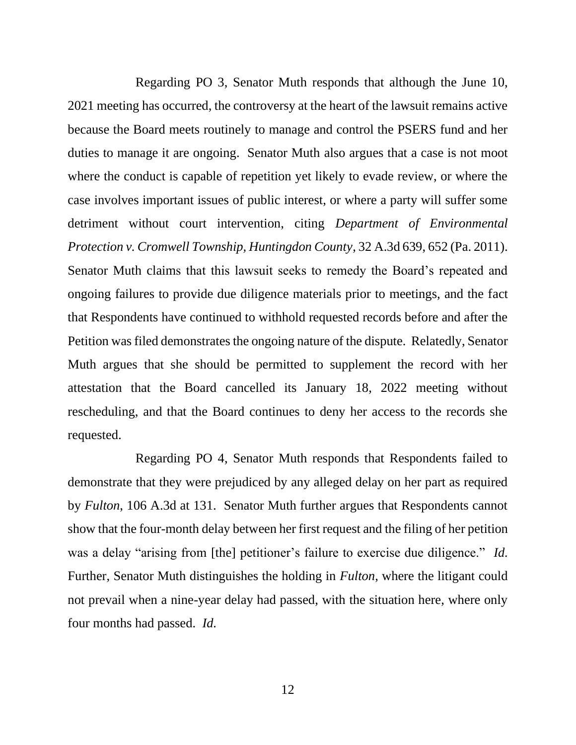Regarding PO 3, Senator Muth responds that although the June 10, 2021 meeting has occurred, the controversy at the heart of the lawsuit remains active because the Board meets routinely to manage and control the PSERS fund and her duties to manage it are ongoing. Senator Muth also argues that a case is not moot where the conduct is capable of repetition yet likely to evade review, or where the case involves important issues of public interest, or where a party will suffer some detriment without court intervention, citing *Department of Environmental Protection v. Cromwell Township, Huntingdon County*, 32 A.3d 639, 652 (Pa. 2011). Senator Muth claims that this lawsuit seeks to remedy the Board's repeated and ongoing failures to provide due diligence materials prior to meetings, and the fact that Respondents have continued to withhold requested records before and after the Petition was filed demonstrates the ongoing nature of the dispute. Relatedly, Senator Muth argues that she should be permitted to supplement the record with her attestation that the Board cancelled its January 18, 2022 meeting without rescheduling, and that the Board continues to deny her access to the records she requested.

Regarding PO 4, Senator Muth responds that Respondents failed to demonstrate that they were prejudiced by any alleged delay on her part as required by *Fulton*, 106 A.3d at 131. Senator Muth further argues that Respondents cannot show that the four-month delay between her first request and the filing of her petition was a delay "arising from [the] petitioner's failure to exercise due diligence." *Id.*  Further, Senator Muth distinguishes the holding in *Fulton*, where the litigant could not prevail when a nine-year delay had passed, with the situation here, where only four months had passed. *Id.*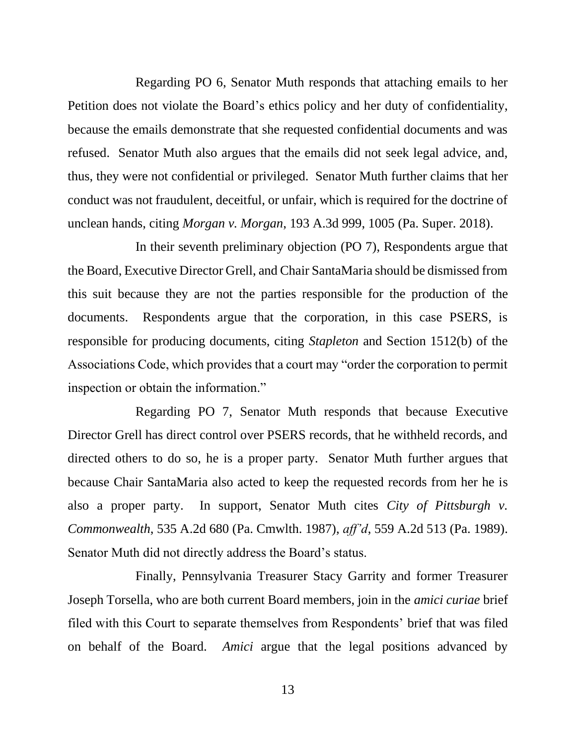Regarding PO 6, Senator Muth responds that attaching emails to her Petition does not violate the Board's ethics policy and her duty of confidentiality, because the emails demonstrate that she requested confidential documents and was refused. Senator Muth also argues that the emails did not seek legal advice, and, thus, they were not confidential or privileged. Senator Muth further claims that her conduct was not fraudulent, deceitful, or unfair, which is required for the doctrine of unclean hands, citing *Morgan v. Morgan*, 193 A.3d 999, 1005 (Pa. Super. 2018).

In their seventh preliminary objection (PO 7), Respondents argue that the Board, Executive Director Grell, and Chair SantaMaria should be dismissed from this suit because they are not the parties responsible for the production of the documents. Respondents argue that the corporation, in this case PSERS, is responsible for producing documents, citing *Stapleton* and Section 1512(b) of the Associations Code, which provides that a court may "order the corporation to permit inspection or obtain the information."

Regarding PO 7, Senator Muth responds that because Executive Director Grell has direct control over PSERS records, that he withheld records, and directed others to do so, he is a proper party. Senator Muth further argues that because Chair SantaMaria also acted to keep the requested records from her he is also a proper party. In support, Senator Muth cites *City of Pittsburgh v. Commonwealth*, 535 A.2d 680 (Pa. Cmwlth. 1987), *aff'd*, 559 A.2d 513 (Pa. 1989). Senator Muth did not directly address the Board's status.

Finally, Pennsylvania Treasurer Stacy Garrity and former Treasurer Joseph Torsella, who are both current Board members, join in the *amici curiae* brief filed with this Court to separate themselves from Respondents' brief that was filed on behalf of the Board. *Amici* argue that the legal positions advanced by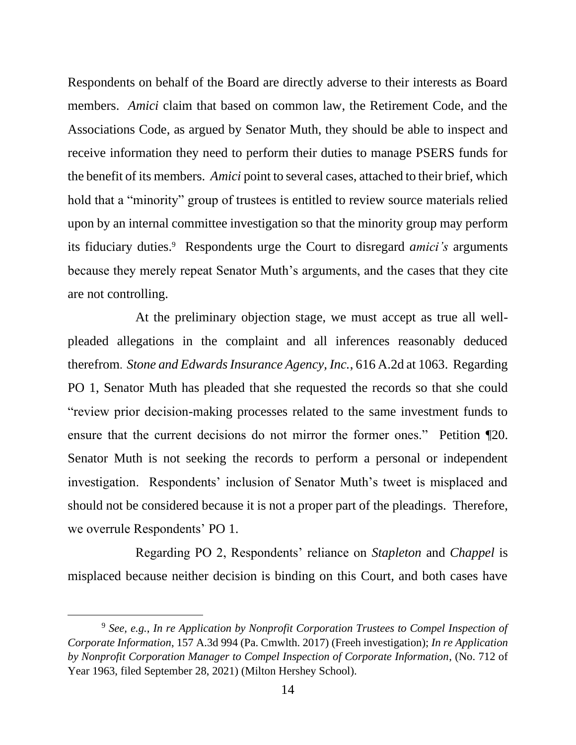Respondents on behalf of the Board are directly adverse to their interests as Board members. *Amici* claim that based on common law, the Retirement Code, and the Associations Code, as argued by Senator Muth, they should be able to inspect and receive information they need to perform their duties to manage PSERS funds for the benefit of its members. *Amici* point to several cases, attached to their brief, which hold that a "minority" group of trustees is entitled to review source materials relied upon by an internal committee investigation so that the minority group may perform its fiduciary duties.<sup>9</sup> Respondents urge the Court to disregard *amici's* arguments because they merely repeat Senator Muth's arguments, and the cases that they cite are not controlling.

At the preliminary objection stage, we must accept as true all wellpleaded allegations in the complaint and all inferences reasonably deduced therefrom. *Stone and Edwards Insurance Agency, Inc.*, 616 A.2d at 1063. Regarding PO 1, Senator Muth has pleaded that she requested the records so that she could "review prior decision-making processes related to the same investment funds to ensure that the current decisions do not mirror the former ones." Petition ¶20. Senator Muth is not seeking the records to perform a personal or independent investigation. Respondents' inclusion of Senator Muth's tweet is misplaced and should not be considered because it is not a proper part of the pleadings. Therefore, we overrule Respondents' PO 1.

Regarding PO 2, Respondents' reliance on *Stapleton* and *Chappel* is misplaced because neither decision is binding on this Court, and both cases have

<sup>9</sup> *See, e.g.*, *In re Application by Nonprofit Corporation Trustees to Compel Inspection of Corporate Information*, 157 A.3d 994 (Pa. Cmwlth. 2017) (Freeh investigation); *In re Application by Nonprofit Corporation Manager to Compel Inspection of Corporate Information*, (No. 712 of Year 1963, filed September 28, 2021) (Milton Hershey School).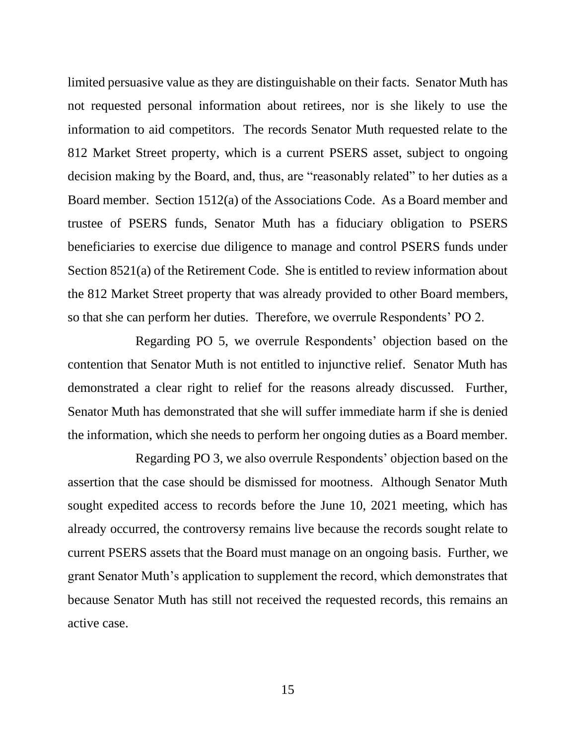limited persuasive value as they are distinguishable on their facts. Senator Muth has not requested personal information about retirees, nor is she likely to use the information to aid competitors. The records Senator Muth requested relate to the 812 Market Street property, which is a current PSERS asset, subject to ongoing decision making by the Board, and, thus, are "reasonably related" to her duties as a Board member. Section 1512(a) of the Associations Code. As a Board member and trustee of PSERS funds, Senator Muth has a fiduciary obligation to PSERS beneficiaries to exercise due diligence to manage and control PSERS funds under Section 8521(a) of the Retirement Code. She is entitled to review information about the 812 Market Street property that was already provided to other Board members, so that she can perform her duties. Therefore, we overrule Respondents' PO 2.

Regarding PO 5, we overrule Respondents' objection based on the contention that Senator Muth is not entitled to injunctive relief. Senator Muth has demonstrated a clear right to relief for the reasons already discussed. Further, Senator Muth has demonstrated that she will suffer immediate harm if she is denied the information, which she needs to perform her ongoing duties as a Board member.

Regarding PO 3, we also overrule Respondents' objection based on the assertion that the case should be dismissed for mootness. Although Senator Muth sought expedited access to records before the June 10, 2021 meeting, which has already occurred, the controversy remains live because the records sought relate to current PSERS assets that the Board must manage on an ongoing basis. Further, we grant Senator Muth's application to supplement the record, which demonstrates that because Senator Muth has still not received the requested records, this remains an active case.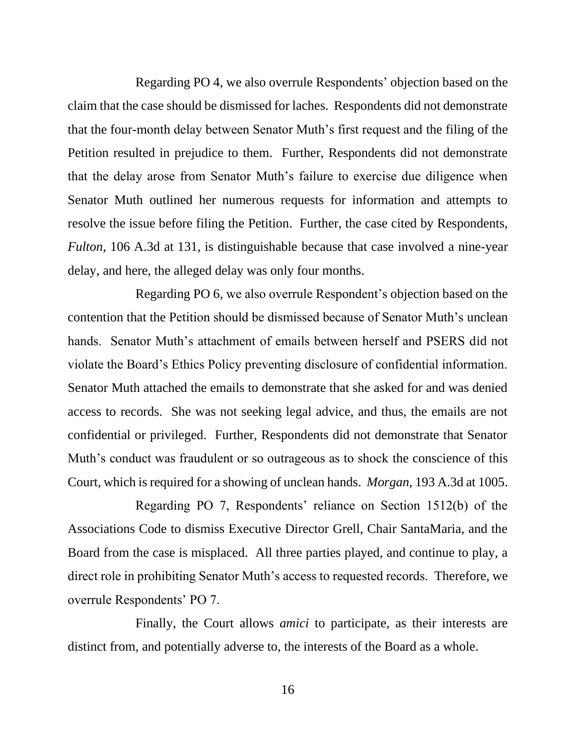Regarding PO 4, we also overrule Respondents' objection based on the claim that the case should be dismissed for laches. Respondents did not demonstrate that the four-month delay between Senator Muth's first request and the filing of the Petition resulted in prejudice to them. Further, Respondents did not demonstrate that the delay arose from Senator Muth's failure to exercise due diligence when Senator Muth outlined her numerous requests for information and attempts to resolve the issue before filing the Petition. Further, the case cited by Respondents, *Fulton*, 106 A.3d at 131, is distinguishable because that case involved a nine-year delay, and here, the alleged delay was only four months.

Regarding PO 6, we also overrule Respondent's objection based on the contention that the Petition should be dismissed because of Senator Muth's unclean hands. Senator Muth's attachment of emails between herself and PSERS did not violate the Board's Ethics Policy preventing disclosure of confidential information. Senator Muth attached the emails to demonstrate that she asked for and was denied access to records. She was not seeking legal advice, and thus, the emails are not confidential or privileged. Further, Respondents did not demonstrate that Senator Muth's conduct was fraudulent or so outrageous as to shock the conscience of this Court, which is required for a showing of unclean hands. *Morgan*, 193 A.3d at 1005.

Regarding PO 7, Respondents' reliance on Section 1512(b) of the Associations Code to dismiss Executive Director Grell, Chair SantaMaria, and the Board from the case is misplaced. All three parties played, and continue to play, a direct role in prohibiting Senator Muth's access to requested records. Therefore, we overrule Respondents' PO 7.

Finally, the Court allows *amici* to participate, as their interests are distinct from, and potentially adverse to, the interests of the Board as a whole.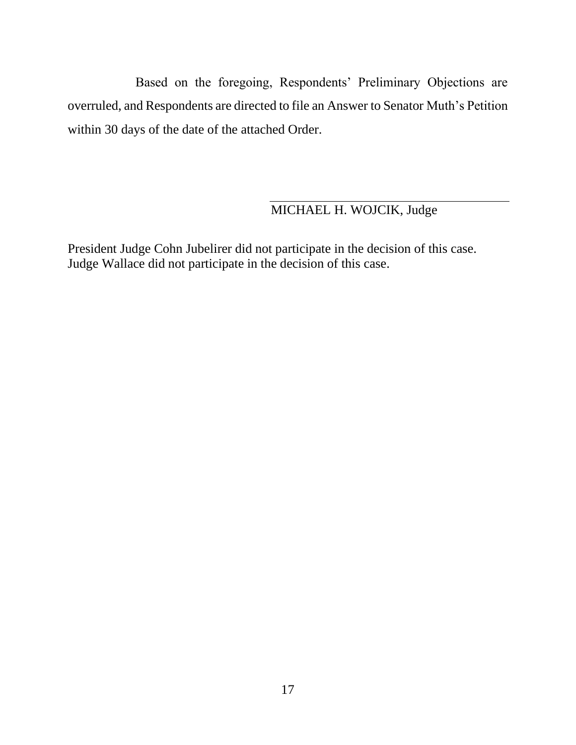Based on the foregoing, Respondents' Preliminary Objections are overruled, and Respondents are directed to file an Answer to Senator Muth's Petition within 30 days of the date of the attached Order.

# MICHAEL H. WOJCIK, Judge

President Judge Cohn Jubelirer did not participate in the decision of this case. Judge Wallace did not participate in the decision of this case.